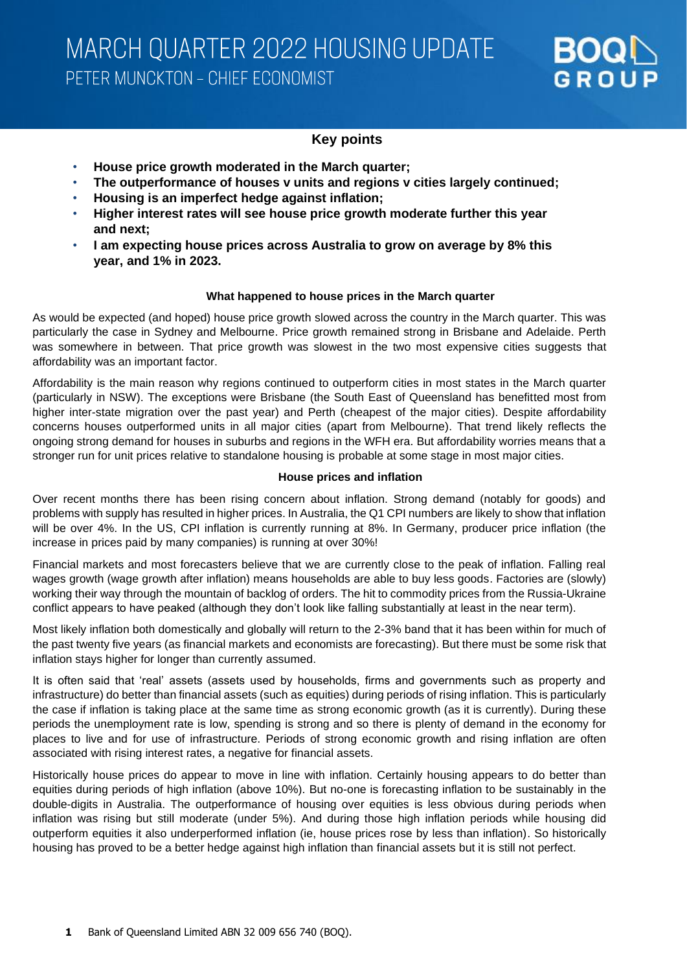

## **Key points**

- **House price growth moderated in the March quarter;**
- **The outperformance of houses v units and regions v cities largely continued;**
- **Housing is an imperfect hedge against inflation;**
- **Higher interest rates will see house price growth moderate further this year and next;**
- **I am expecting house prices across Australia to grow on average by 8% this year, and 1% in 2023.**

### **What happened to house prices in the March quarter**

As would be expected (and hoped) house price growth slowed across the country in the March quarter. This was particularly the case in Sydney and Melbourne. Price growth remained strong in Brisbane and Adelaide. Perth was somewhere in between. That price growth was slowest in the two most expensive cities suggests that affordability was an important factor.

Affordability is the main reason why regions continued to outperform cities in most states in the March quarter (particularly in NSW). The exceptions were Brisbane (the South East of Queensland has benefitted most from higher inter-state migration over the past year) and Perth (cheapest of the major cities). Despite affordability concerns houses outperformed units in all major cities (apart from Melbourne). That trend likely reflects the ongoing strong demand for houses in suburbs and regions in the WFH era. But affordability worries means that a stronger run for unit prices relative to standalone housing is probable at some stage in most major cities.

### **House prices and inflation**

Over recent months there has been rising concern about inflation. Strong demand (notably for goods) and problems with supply has resulted in higher prices. In Australia, the Q1 CPI numbers are likely to show that inflation will be over 4%. In the US, CPI inflation is currently running at 8%. In Germany, producer price inflation (the increase in prices paid by many companies) is running at over 30%!

Financial markets and most forecasters believe that we are currently close to the peak of inflation. Falling real wages growth (wage growth after inflation) means households are able to buy less goods. Factories are (slowly) working their way through the mountain of backlog of orders. The hit to commodity prices from the Russia-Ukraine conflict appears to have peaked (although they don't look like falling substantially at least in the near term).

Most likely inflation both domestically and globally will return to the 2-3% band that it has been within for much of the past twenty five years (as financial markets and economists are forecasting). But there must be some risk that inflation stays higher for longer than currently assumed.

It is often said that 'real' assets (assets used by households, firms and governments such as property and infrastructure) do better than financial assets (such as equities) during periods of rising inflation. This is particularly the case if inflation is taking place at the same time as strong economic growth (as it is currently). During these periods the unemployment rate is low, spending is strong and so there is plenty of demand in the economy for places to live and for use of infrastructure. Periods of strong economic growth and rising inflation are often associated with rising interest rates, a negative for financial assets.

Historically house prices do appear to move in line with inflation. Certainly housing appears to do better than equities during periods of high inflation (above 10%). But no-one is forecasting inflation to be sustainably in the double-digits in Australia. The outperformance of housing over equities is less obvious during periods when inflation was rising but still moderate (under 5%). And during those high inflation periods while housing did outperform equities it also underperformed inflation (ie, house prices rose by less than inflation). So historically housing has proved to be a better hedge against high inflation than financial assets but it is still not perfect.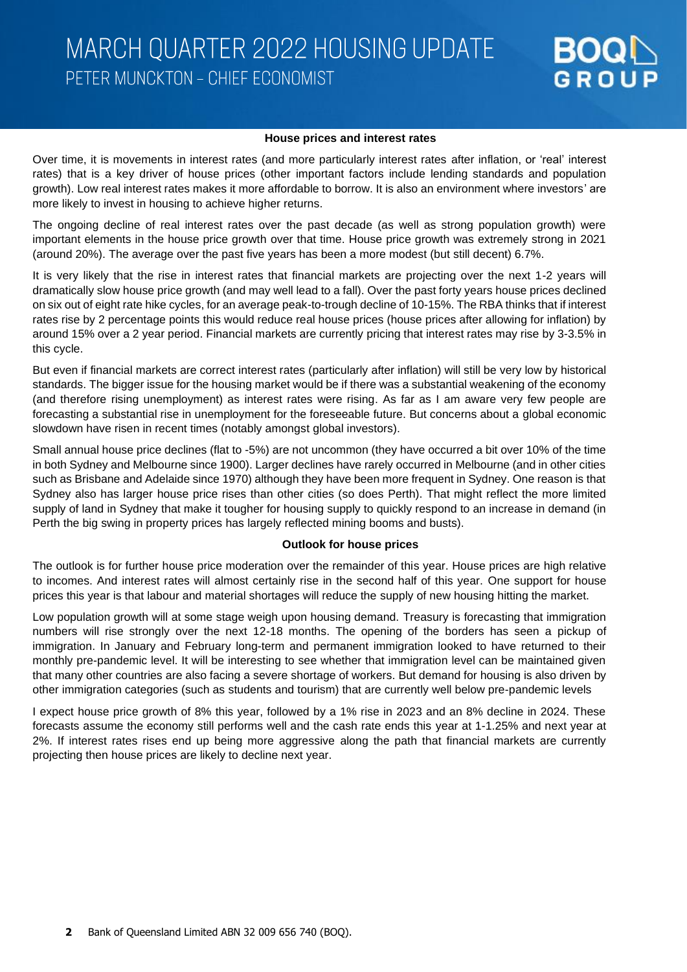MARCH QUARTER 2022 HOUSING UPDATE PETER MUNCKTON - CHIEF ECONOMIST

#### **House prices and interest rates**

GROUP

Over time, it is movements in interest rates (and more particularly interest rates after inflation, or 'real' interest rates) that is a key driver of house prices (other important factors include lending standards and population growth). Low real interest rates makes it more affordable to borrow. It is also an environment where investors' are more likely to invest in housing to achieve higher returns.

The ongoing decline of real interest rates over the past decade (as well as strong population growth) were important elements in the house price growth over that time. House price growth was extremely strong in 2021 (around 20%). The average over the past five years has been a more modest (but still decent) 6.7%.

It is very likely that the rise in interest rates that financial markets are projecting over the next 1-2 years will dramatically slow house price growth (and may well lead to a fall). Over the past forty years house prices declined on six out of eight rate hike cycles, for an average peak-to-trough decline of 10-15%. The RBA thinks that if interest rates rise by 2 percentage points this would reduce real house prices (house prices after allowing for inflation) by around 15% over a 2 year period. Financial markets are currently pricing that interest rates may rise by 3-3.5% in this cycle.

But even if financial markets are correct interest rates (particularly after inflation) will still be very low by historical standards. The bigger issue for the housing market would be if there was a substantial weakening of the economy (and therefore rising unemployment) as interest rates were rising. As far as I am aware very few people are forecasting a substantial rise in unemployment for the foreseeable future. But concerns about a global economic slowdown have risen in recent times (notably amongst global investors).

Small annual house price declines (flat to -5%) are not uncommon (they have occurred a bit over 10% of the time in both Sydney and Melbourne since 1900). Larger declines have rarely occurred in Melbourne (and in other cities such as Brisbane and Adelaide since 1970) although they have been more frequent in Sydney. One reason is that Sydney also has larger house price rises than other cities (so does Perth). That might reflect the more limited supply of land in Sydney that make it tougher for housing supply to quickly respond to an increase in demand (in Perth the big swing in property prices has largely reflected mining booms and busts).

#### **Outlook for house prices**

The outlook is for further house price moderation over the remainder of this year. House prices are high relative to incomes. And interest rates will almost certainly rise in the second half of this year. One support for house prices this year is that labour and material shortages will reduce the supply of new housing hitting the market.

Low population growth will at some stage weigh upon housing demand. Treasury is forecasting that immigration numbers will rise strongly over the next 12-18 months. The opening of the borders has seen a pickup of immigration. In January and February long-term and permanent immigration looked to have returned to their monthly pre-pandemic level. It will be interesting to see whether that immigration level can be maintained given that many other countries are also facing a severe shortage of workers. But demand for housing is also driven by other immigration categories (such as students and tourism) that are currently well below pre-pandemic levels

I expect house price growth of 8% this year, followed by a 1% rise in 2023 and an 8% decline in 2024. These forecasts assume the economy still performs well and the cash rate ends this year at 1-1.25% and next year at 2%. If interest rates rises end up being more aggressive along the path that financial markets are currently projecting then house prices are likely to decline next year.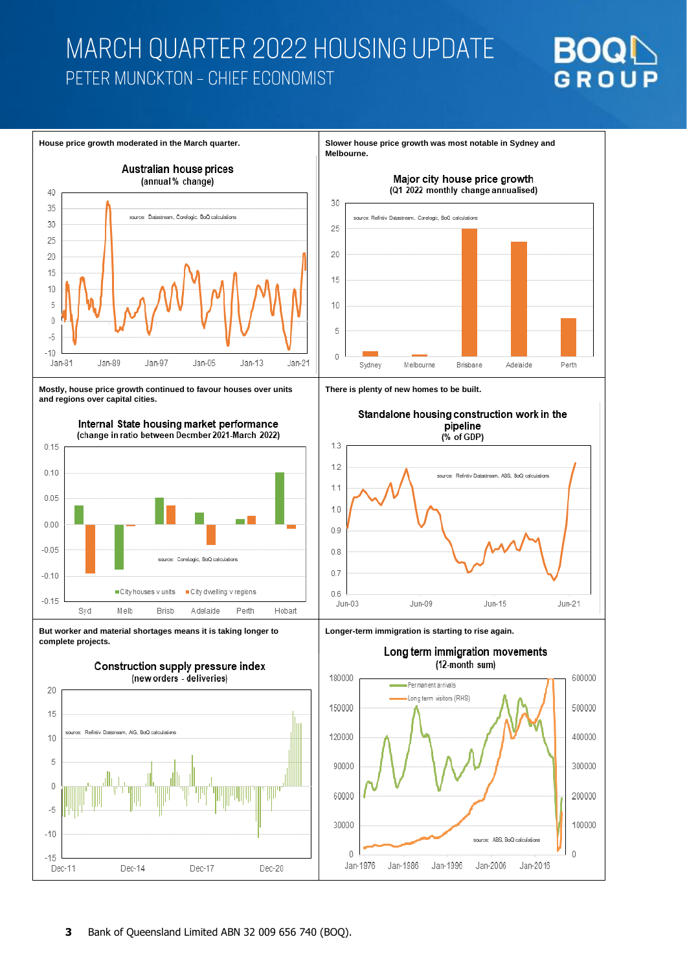## MARCH QUARTER 2022 HOUSING UPDATE PETER MUNCKTON - CHIEF ECONOMIST



200000

100000

 $\mathbf 0$ 

source: ABS, BoQ calculations

Jan-2016

Jan-2006



60000

30000

 $\,0\,$ 

Jan-1976

Jan-1986

Jan-1996

**3** Bank of Queensland Limited ABN 32 009 656 740 (BOQ).

Dec-17

Dec-20

 $-5$ 

 $-10$ 

 $-15$ 

Dec-11

Dec-14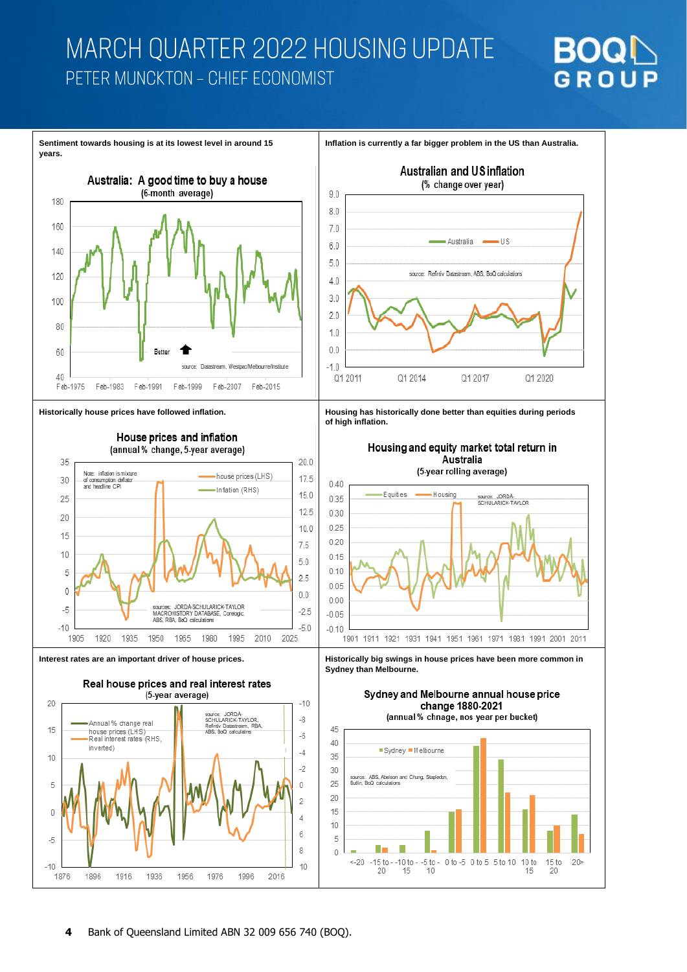# MARCH QUARTER 2022 HOUSING UPDATE PETER MUNCKTON - CHIEF ECONOMIST